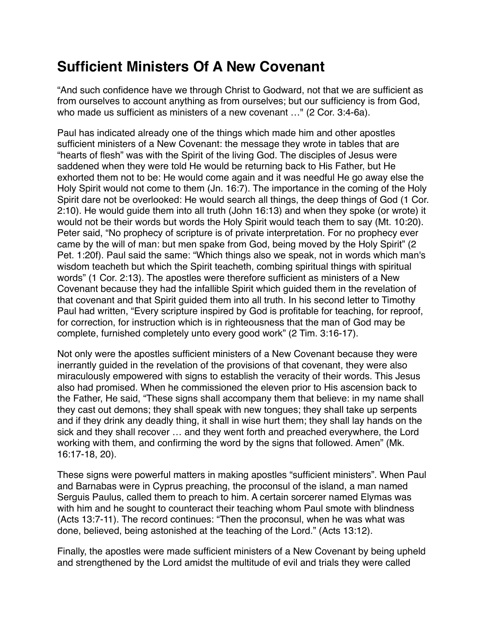## **Sufficient Ministers Of A New Covenant**

"And such confidence have we through Christ to Godward, not that we are sufficient as from ourselves to account anything as from ourselves; but our sufficiency is from God, who made us sufficient as ministers of a new covenant …" (2 Cor. 3:4-6a).

Paul has indicated already one of the things which made him and other apostles sufficient ministers of a New Covenant: the message they wrote in tables that are "hearts of flesh" was with the Spirit of the living God. The disciples of Jesus were saddened when they were told He would be returning back to His Father, but He exhorted them not to be: He would come again and it was needful He go away else the Holy Spirit would not come to them (Jn. 16:7). The importance in the coming of the Holy Spirit dare not be overlooked: He would search all things, the deep things of God (1 Cor. 2:10). He would guide them into all truth (John 16:13) and when they spoke (or wrote) it would not be their words but words the Holy Spirit would teach them to say (Mt. 10:20). Peter said, "No prophecy of scripture is of private interpretation. For no prophecy ever came by the will of man: but men spake from God, being moved by the Holy Spirit" (2 Pet. 1:20f). Paul said the same: "Which things also we speak, not in words which man's wisdom teacheth but which the Spirit teacheth, combing spiritual things with spiritual words" (1 Cor. 2:13). The apostles were therefore sufficient as ministers of a New Covenant because they had the infallible Spirit which guided them in the revelation of that covenant and that Spirit guided them into all truth. In his second letter to Timothy Paul had written, "Every scripture inspired by God is profitable for teaching, for reproof, for correction, for instruction which is in righteousness that the man of God may be complete, furnished completely unto every good work" (2 Tim. 3:16-17).

Not only were the apostles sufficient ministers of a New Covenant because they were inerrantly guided in the revelation of the provisions of that covenant, they were also miraculously empowered with signs to establish the veracity of their words. This Jesus also had promised. When he commissioned the eleven prior to His ascension back to the Father, He said, "These signs shall accompany them that believe: in my name shall they cast out demons; they shall speak with new tongues; they shall take up serpents and if they drink any deadly thing, it shall in wise hurt them; they shall lay hands on the sick and they shall recover … and they went forth and preached everywhere, the Lord working with them, and confirming the word by the signs that followed. Amen" (Mk. 16:17-18, 20).

These signs were powerful matters in making apostles "sufficient ministers". When Paul and Barnabas were in Cyprus preaching, the proconsul of the island, a man named Serguis Paulus, called them to preach to him. A certain sorcerer named Elymas was with him and he sought to counteract their teaching whom Paul smote with blindness (Acts 13:7-11). The record continues: "Then the proconsul, when he was what was done, believed, being astonished at the teaching of the Lord." (Acts 13:12).

Finally, the apostles were made sufficient ministers of a New Covenant by being upheld and strengthened by the Lord amidst the multitude of evil and trials they were called